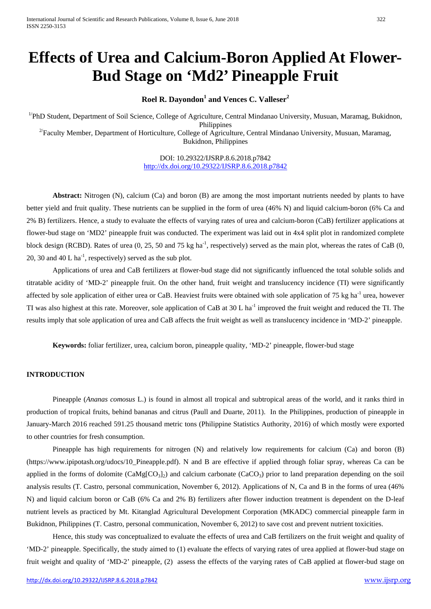# **Effects of Urea and Calcium-Boron Applied At Flower-Bud Stage on 'Md2' Pineapple Fruit**

**Roel R. Dayondon<sup>1</sup> and Vences C. Valleser2**

<sup>1/</sup>PhD Student, Department of Soil Science, College of Agriculture, Central Mindanao University, Musuan, Maramag, Bukidnon, <sup>2/</sup>Faculty Member, Department of Horticulture, College of Agriculture, Central Mindanao University, Musuan, Maramag,

Bukidnon, Philippines

DOI: 10.29322/IJSRP.8.6.2018.p7842 <http://dx.doi.org/10.29322/IJSRP.8.6.2018.p7842>

Abstract: Nitrogen (N), calcium (Ca) and boron (B) are among the most important nutrients needed by plants to have better yield and fruit quality. These nutrients can be supplied in the form of urea (46% N) and liquid calcium-boron (6% Ca and 2% B) fertilizers. Hence, a study to evaluate the effects of varying rates of urea and calcium-boron (CaB) fertilizer applications at flower-bud stage on 'MD2' pineapple fruit was conducted. The experiment was laid out in 4x4 split plot in randomized complete block design (RCBD). Rates of urea  $(0, 25, 50 \text{ and } 75 \text{ kg ha}^{-1}$ , respectively) served as the main plot, whereas the rates of CaB  $(0, 10)$ 20, 30 and 40 L ha<sup>-1</sup>, respectively) served as the sub plot.

Applications of urea and CaB fertilizers at flower-bud stage did not significantly influenced the total soluble solids and titratable acidity of 'MD-2' pineapple fruit. On the other hand, fruit weight and translucency incidence (TI) were significantly affected by sole application of either urea or CaB. Heaviest fruits were obtained with sole application of 75 kg ha<sup>-1</sup> urea, however TI was also highest at this rate. Moreover, sole application of CaB at 30 L ha<sup>-1</sup> improved the fruit weight and reduced the TI. The results imply that sole application of urea and CaB affects the fruit weight as well as translucency incidence in 'MD-2' pineapple.

**Keywords:** foliar fertilizer, urea, calcium boron, pineapple quality, 'MD-2' pineapple, flower-bud stage

## **INTRODUCTION**

Pineapple (*Ananas comosus* L.) is found in almost all tropical and subtropical areas of the world, and it ranks third in production of tropical fruits, behind bananas and citrus (Paull and Duarte, 2011). In the Philippines, production of pineapple in January-March 2016 reached 591.25 thousand metric tons (Philippine Statistics Authority, 2016) of which mostly were exported to other countries for fresh consumption.

Pineapple has high requirements for nitrogen (N) and relatively low requirements for calcium (Ca) and boron (B) (https://www.ipipotash.org/udocs/10\_Pineapple.pdf). N and B are effective if applied through foliar spray, whereas Ca can be applied in the forms of dolomite  $(CaMg[CO_3]_2)$  and calcium carbonate  $(CaCO_3)$  prior to land preparation depending on the soil analysis results (T. Castro, personal communication, November 6, 2012). Applications of N, Ca and B in the forms of urea (46% N) and liquid calcium boron or CaB (6% Ca and 2% B) fertilizers after flower induction treatment is dependent on the D-leaf nutrient levels as practiced by Mt. Kitanglad Agricultural Development Corporation (MKADC) commercial pineapple farm in Bukidnon, Philippines (T. Castro, personal communication, November 6, 2012) to save cost and prevent nutrient toxicities.

Hence, this study was conceptualized to evaluate the effects of urea and CaB fertilizers on the fruit weight and quality of 'MD-2' pineapple. Specifically, the study aimed to (1) evaluate the effects of varying rates of urea applied at flower-bud stage on fruit weight and quality of 'MD-2' pineapple, (2) assess the effects of the varying rates of CaB applied at flower-bud stage on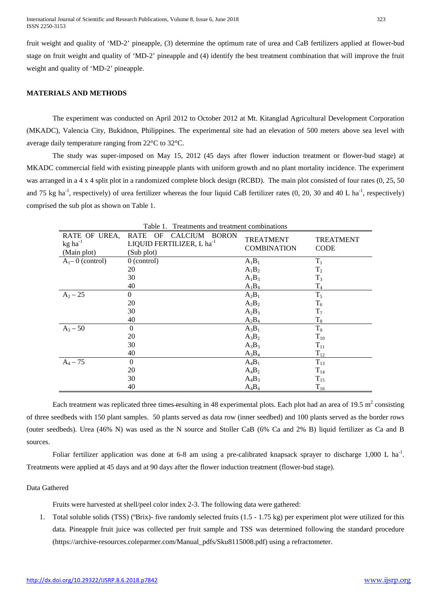fruit weight and quality of 'MD-2' pineapple, (3) determine the optimum rate of urea and CaB fertilizers applied at flower-bud stage on fruit weight and quality of 'MD-2' pineapple and (4) identify the best treatment combination that will improve the fruit weight and quality of 'MD-2' pineapple.

# **MATERIALS AND METHODS**

The experiment was conducted on April 2012 to October 2012 at Mt. Kitanglad Agricultural Development Corporation (MKADC), Valencia City, Bukidnon, Philippines. The experimental site had an elevation of 500 meters above sea level with average daily temperature ranging from 22°C to 32°C.

The study was super-imposed on May 15, 2012 (45 days after flower induction treatment or flower-bud stage) at MKADC commercial field with existing pineapple plants with uniform growth and no plant mortality incidence. The experiment was arranged in a 4 x 4 split plot in a randomized complete block design (RCBD). The main plot consisted of four rates (0, 25, 50) and 75 kg ha<sup>-1</sup>, respectively) of urea fertilizer whereas the four liquid CaB fertilizer rates  $(0, 20, 30$  and  $40$  L ha<sup>-1</sup>, respectively) comprised the sub plot as shown on Table 1.

| Treatments and treatment combinations<br>Table 1.     |                                                                                           |                                        |                                 |
|-------------------------------------------------------|-------------------------------------------------------------------------------------------|----------------------------------------|---------------------------------|
| RATE OF UREA,<br>$kg$ ha <sup>-1</sup><br>(Main plot) | CALCIUM BORON<br><b>RATE</b><br>OF<br>LIQUID FERTILIZER, L ha <sup>-1</sup><br>(Sub plot) | <b>TREATMENT</b><br><b>COMBINATION</b> | <b>TREATMENT</b><br><b>CODE</b> |
| $A_1 - 0$ (control)                                   | $0$ (control)                                                                             | $A_1B_1$                               | $T_1$                           |
|                                                       | 20                                                                                        | $A_1B_2$                               | T <sub>2</sub>                  |
|                                                       | 30                                                                                        | $A_1B_3$                               | $T_3$                           |
|                                                       | 40                                                                                        | $A_1B_4$                               | $T_4$                           |
| $A_2 - 25$                                            | $\mathbf{0}$                                                                              | $A_2B_1$                               | $T_5$                           |
|                                                       | 20                                                                                        | $A_2B_2$                               | $T_6$                           |
|                                                       | 30                                                                                        | $A_2B_3$                               | $T_7$                           |
|                                                       | 40                                                                                        | $A_2B_4$                               | $T_8$                           |
| $A_3 - 50$                                            | $\Omega$                                                                                  | $A_3B_1$                               | $T_9$                           |
|                                                       | 20                                                                                        | $A_3B_2$                               | $T_{10}$                        |
|                                                       | 30                                                                                        | $A_3B_3$                               | $T_{11}$                        |
|                                                       | 40                                                                                        | $A_3B_4$                               | $T_{12}$                        |
| $A_4 - 75$                                            | $\Omega$                                                                                  | $A_4B_1$                               | $T_{13}$                        |
|                                                       | 20                                                                                        | $A_4B_2$                               | $T_{14}$                        |
|                                                       | 30                                                                                        | $A_4B_3$                               | $T_{15}$                        |
|                                                       | 40                                                                                        | $A_4B_4$                               | $T_{16}$                        |

Each treatment was replicated three times-resulting in 48 experimental plots. Each plot had an area of 19.5  $m<sup>2</sup>$  consisting of three seedbeds with 150 plant samples. 50 plants served as data row (inner seedbed) and 100 plants served as the border rows (outer seedbeds). Urea (46% N) was used as the N source and Stoller CaB (6% Ca and 2% B) liquid fertilizer as Ca and B sources.

Foliar fertilizer application was done at 6-8 am using a pre-calibrated knapsack sprayer to discharge 1,000 L ha<sup>-1</sup>. Treatments were applied at 45 days and at 90 days after the flower induction treatment (flower-bud stage).

#### Data Gathered

Fruits were harvested at shell/peel color index 2-3. The following data were gathered:

1. Total soluble solids (TSS) (ºBrix)- five randomly selected fruits (1.5 - 1.75 kg) per experiment plot were utilized for this data. Pineapple fruit juice was collected per fruit sample and TSS was determined following the standard procedure (https://archive-resources.coleparmer.com/Manual\_pdfs/Sku8115008.pdf) using a refractometer.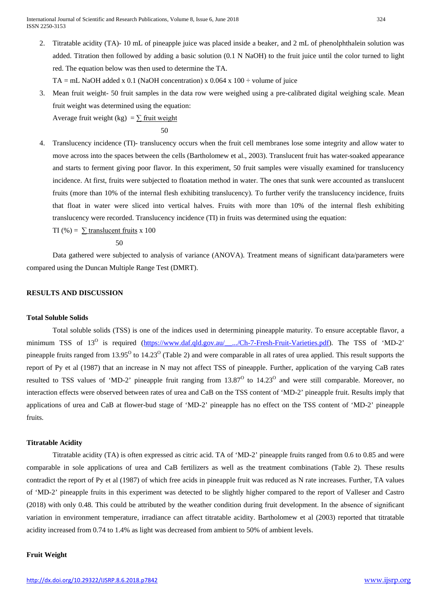2. Titratable acidity (TA)- 10 mL of pineapple juice was placed inside a beaker, and 2 mL of phenolphthalein solution was added. Titration then followed by adding a basic solution (0.1 N NaOH) to the fruit juice until the color turned to light red. The equation below was then used to determine the TA.

TA = mL NaOH added x 0.1 (NaOH concentration) x 0.064 x 100  $\div$  volume of juice

3. Mean fruit weight- 50 fruit samples in the data row were weighed using a pre-calibrated digital weighing scale. Mean fruit weight was determined using the equation:

Average fruit weight (kg) =  $\sum$  fruit weight

50

4. Translucency incidence (TI)- translucency occurs when the fruit cell membranes lose some integrity and allow water to move across into the spaces between the cells (Bartholomew et al., 2003). Translucent fruit has water-soaked appearance and starts to ferment giving poor flavor. In this experiment, 50 fruit samples were visually examined for translucency incidence. At first, fruits were subjected to floatation method in water. The ones that sunk were accounted as translucent fruits (more than 10% of the internal flesh exhibiting translucency). To further verify the translucency incidence, fruits that float in water were sliced into vertical halves. Fruits with more than 10% of the internal flesh exhibiting translucency were recorded. Translucency incidence (TI) in fruits was determined using the equation:

TI (%) =  $\Sigma$  translucent fruits x 100

50

Data gathered were subjected to analysis of variance (ANOVA). Treatment means of significant data/parameters were compared using the Duncan Multiple Range Test (DMRT).

# **RESULTS AND DISCUSSION**

#### **Total Soluble Solids**

Total soluble solids (TSS) is one of the indices used in determining pineapple maturity. To ensure acceptable flavor, a minimum TSS of 13<sup>O</sup> is required (https://www.daf.qld.gov.au/ .../Ch-7-Fresh-Fruit-Varieties.pdf). The TSS of 'MD-2' pineapple fruits ranged from  $13.95^{\circ}$  to  $14.23^{\circ}$  (Table 2) and were comparable in all rates of urea applied. This result supports the report of Py et al (1987) that an increase in N may not affect TSS of pineapple. Further, application of the varying CaB rates resulted to TSS values of 'MD-2' pineapple fruit ranging from  $13.87<sup>o</sup>$  to  $14.23<sup>o</sup>$  and were still comparable. Moreover, no interaction effects were observed between rates of urea and CaB on the TSS content of 'MD-2' pineapple fruit. Results imply that applications of urea and CaB at flower-bud stage of 'MD-2' pineapple has no effect on the TSS content of 'MD-2' pineapple fruits.

#### **Titratable Acidity**

Titratable acidity (TA) is often expressed as citric acid. TA of 'MD-2' pineapple fruits ranged from 0.6 to 0.85 and were comparable in sole applications of urea and CaB fertilizers as well as the treatment combinations (Table 2). These results contradict the report of Py et al (1987) of which free acids in pineapple fruit was reduced as N rate increases. Further, TA values of 'MD-2' pineapple fruits in this experiment was detected to be slightly higher compared to the report of Valleser and Castro (2018) with only 0.48. This could be attributed by the weather condition during fruit development. In the absence of significant variation in environment temperature, irradiance can affect titratable acidity. Bartholomew et al (2003) reported that titratable acidity increased from 0.74 to 1.4% as light was decreased from ambient to 50% of ambient levels.

#### **Fruit Weight**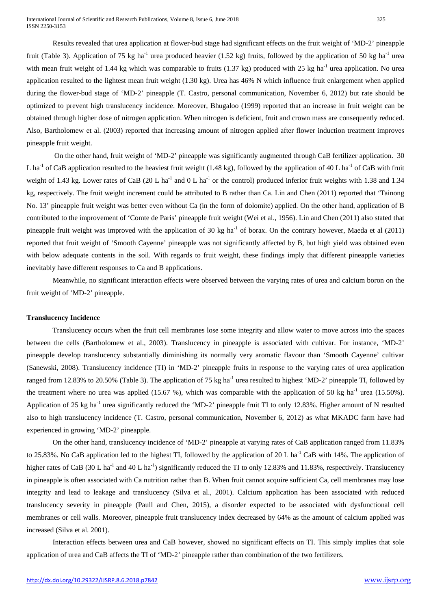Results revealed that urea application at flower-bud stage had significant effects on the fruit weight of 'MD-2' pineapple fruit (Table 3). Application of 75 kg ha<sup>-1</sup> urea produced heavier (1.52 kg) fruits, followed by the application of 50 kg ha<sup>-1</sup> urea with mean fruit weight of 1.44 kg which was comparable to fruits (1.37 kg) produced with 25 kg ha<sup>-1</sup> urea application. No urea application resulted to the lightest mean fruit weight (1.30 kg). Urea has 46% N which influence fruit enlargement when applied during the flower-bud stage of 'MD-2' pineapple (T. Castro, personal communication, November 6, 2012) but rate should be optimized to prevent high translucency incidence. Moreover, Bhugaloo (1999) reported that an increase in fruit weight can be obtained through higher dose of nitrogen application. When nitrogen is deficient, fruit and crown mass are consequently reduced. Also, Bartholomew et al. (2003) reported that increasing amount of nitrogen applied after flower induction treatment improves pineapple fruit weight.

On the other hand, fruit weight of 'MD-2' pineapple was significantly augmented through CaB fertilizer application. 30 L ha<sup>-1</sup> of CaB application resulted to the heaviest fruit weight (1.48 kg), followed by the application of 40 L ha<sup>-1</sup> of CaB with fruit weight of 1.43 kg. Lower rates of CaB (20 L ha<sup>-1</sup> and 0 L ha<sup>-1</sup> or the control) produced inferior fruit weights with 1.38 and 1.34 kg, respectively. The fruit weight increment could be attributed to B rather than Ca. Lin and Chen (2011) reported that 'Tainong No. 13' pineapple fruit weight was better even without Ca (in the form of dolomite) applied. On the other hand, application of B contributed to the improvement of 'Comte de Paris' pineapple fruit weight (Wei et al., 1956). Lin and Chen (2011) also stated that pineapple fruit weight was improved with the application of 30 kg ha<sup>-1</sup> of borax. On the contrary however, Maeda et al (2011) reported that fruit weight of 'Smooth Cayenne' pineapple was not significantly affected by B, but high yield was obtained even with below adequate contents in the soil. With regards to fruit weight, these findings imply that different pineapple varieties inevitably have different responses to Ca and B applications.

Meanwhile, no significant interaction effects were observed between the varying rates of urea and calcium boron on the fruit weight of 'MD-2' pineapple.

#### **Translucency Incidence**

Translucency occurs when the fruit cell membranes lose some integrity and allow water to move across into the spaces between the cells (Bartholomew et al., 2003). Translucency in pineapple is associated with cultivar. For instance, 'MD-2' pineapple develop translucency substantially diminishing its normally very aromatic flavour than 'Smooth Cayenne' cultivar (Sanewski, 2008). Translucency incidence (TI) in 'MD-2' pineapple fruits in response to the varying rates of urea application ranged from 12.83% to 20.50% (Table 3). The application of 75 kg ha<sup>-1</sup> urea resulted to highest 'MD-2' pineapple TI, followed by the treatment where no urea was applied (15.67 %), which was comparable with the application of 50 kg ha<sup>-1</sup> urea (15.50%). Application of 25 kg ha<sup>-1</sup> urea significantly reduced the 'MD-2' pineapple fruit TI to only 12.83%. Higher amount of N resulted also to high translucency incidence (T. Castro, personal communication, November 6, 2012) as what MKADC farm have had experienced in growing 'MD-2' pineapple.

On the other hand, translucency incidence of 'MD-2' pineapple at varying rates of CaB application ranged from 11.83% to 25.83%. No CaB application led to the highest TI, followed by the application of 20 L ha<sup>-1</sup> CaB with 14%. The application of higher rates of CaB (30 L ha<sup>-1</sup> and 40 L ha<sup>-1</sup>) significantly reduced the TI to only 12.83% and 11.83%, respectively. Translucency in pineapple is often associated with Ca nutrition rather than B. When fruit cannot acquire sufficient Ca, cell membranes may lose integrity and lead to leakage and translucency (Silva et al., 2001). Calcium application has been associated with reduced translucency severity in pineapple (Paull and Chen, 2015), a disorder expected to be associated with dysfunctional cell membranes or cell walls. Moreover, pineapple fruit translucency index decreased by 64% as the amount of calcium applied was increased (Silva et al. 2001).

Interaction effects between urea and CaB however, showed no significant effects on TI. This simply implies that sole application of urea and CaB affects the TI of 'MD-2' pineapple rather than combination of the two fertilizers.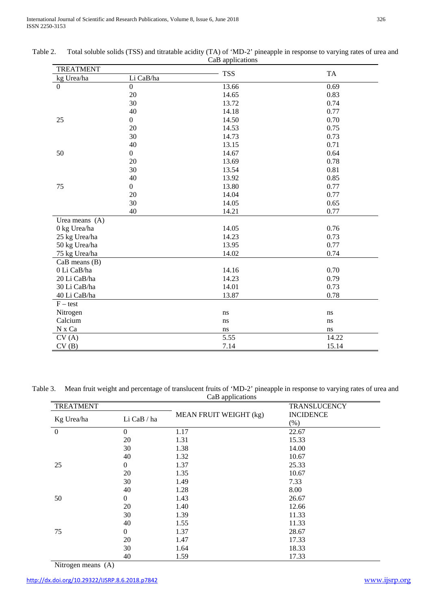| <b>TREATMENT</b>  |                  |                   |       |
|-------------------|------------------|-------------------|-------|
| kg Urea/ha        | Li CaB/ha        | <b>TSS</b>        | TA    |
| $\overline{0}$    | $\boldsymbol{0}$ | 13.66             | 0.69  |
|                   | 20               | 14.65             | 0.83  |
|                   | 30               | 13.72             | 0.74  |
|                   | 40               | 14.18             | 0.77  |
| 25                | $\overline{0}$   | 14.50             | 0.70  |
|                   | 20               | 14.53             | 0.75  |
|                   | 30               | 14.73             | 0.73  |
|                   | 40               | 13.15             | 0.71  |
| 50                | $\boldsymbol{0}$ | 14.67             | 0.64  |
|                   | 20               | 13.69             | 0.78  |
|                   | 30               | 13.54             | 0.81  |
|                   | 40               | 13.92             | 0.85  |
| 75                | $\boldsymbol{0}$ | 13.80             | 0.77  |
|                   | 20               | 14.04             | 0.77  |
|                   | 30               | 14.05             | 0.65  |
|                   | 40               | 14.21             | 0.77  |
| Urea means (A)    |                  |                   |       |
| 0 kg Urea/ha      |                  | 14.05             | 0.76  |
| 25 kg Urea/ha     |                  | 14.23             | 0.73  |
| 50 kg Urea/ha     |                  | 13.95             | 0.77  |
| 75 kg Urea/ha     |                  | 14.02             | 0.74  |
| $CaB$ means $(B)$ |                  |                   |       |
| 0 Li CaB/ha       |                  | 14.16             | 0.70  |
| 20 Li CaB/ha      |                  | 14.23             | 0.79  |
| 30 Li CaB/ha      |                  | 14.01             | 0.73  |
| 40 Li CaB/ha      |                  | 13.87             | 0.78  |
| $F - test$        |                  |                   |       |
| Nitrogen          |                  | ns                | ns    |
| Calcium           |                  | ns                | ns    |
| N x Ca            |                  | ns                | ns    |
| CV(A)             |                  | $\overline{5.55}$ | 14.22 |
| CV(B)             |                  | 7.14              | 15.14 |

| Table 2. | Total soluble solids (TSS) and titratable acidity (TA) of 'MD-2' pineapple in response to varying rates of urea and |
|----------|---------------------------------------------------------------------------------------------------------------------|
|          | CaB applications                                                                                                    |

Table 3. Mean fruit weight and percentage of translucent fruits of 'MD-2' pineapple in response to varying rates of urea and CaB applications

| <b>TREATMENT</b> |              | T 1                    | <b>TRANSLUCENCY</b>      |
|------------------|--------------|------------------------|--------------------------|
| Kg Urea/ha       | Li CaB / ha  | MEAN FRUIT WEIGHT (kg) | <b>INCIDENCE</b><br>(% ) |
| $\boldsymbol{0}$ | $\Omega$     | 1.17                   | 22.67                    |
|                  | 20           | 1.31                   | 15.33                    |
|                  | 30           | 1.38                   | 14.00                    |
|                  | 40           | 1.32                   | 10.67                    |
| 25               | $\mathbf{0}$ | 1.37                   | 25.33                    |
|                  | 20           | 1.35                   | 10.67                    |
|                  | 30           | 1.49                   | 7.33                     |
|                  | 40           | 1.28                   | 8.00                     |
| 50               | $\mathbf{0}$ | 1.43                   | 26.67                    |
|                  | 20           | 1.40                   | 12.66                    |
|                  | 30           | 1.39                   | 11.33                    |
|                  | 40           | 1.55                   | 11.33                    |
| 75               | $\Omega$     | 1.37                   | 28.67                    |
|                  | 20           | 1.47                   | 17.33                    |
|                  | 30           | 1.64                   | 18.33                    |
|                  | 40           | 1.59                   | 17.33                    |

Nitrogen means (A)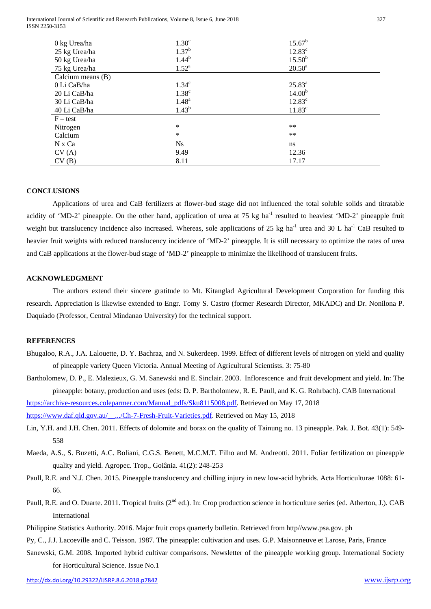International Journal of Scientific and Research Publications, Volume 8, Issue 6, June 2018 327 ISSN 2250-3153

| 0 kg Urea/ha      | 1.30 <sup>c</sup> | $15.67^b$          |
|-------------------|-------------------|--------------------|
| 25 kg Urea/ha     | $1.37^{b}$        | $12.83^c$          |
| 50 kg Urea/ha     | $1.44^{b}$        | $15.50^{b}$        |
| 75 kg Urea/ha     | $1.52^{\rm a}$    | $20.50^{\text{a}}$ |
| Calcium means (B) |                   |                    |
| 0 Li CaB/ha       | 1.34 <sup>c</sup> | $25.83^{a}$        |
| 20 Li CaB/ha      | 1.38 <sup>c</sup> | 14.00 <sup>b</sup> |
| 30 Li CaB/ha      | 1.48 <sup>a</sup> | $12.83^c$          |
| 40 Li CaB/ha      | $1.43^{b}$        | $11.83^c$          |
| $F - test$        |                   |                    |
| Nitrogen          | *                 | $***$              |
| Calcium           | $\ast$            | $***$              |
| N x Ca            | $N_{S}$           | ns                 |
| CV(A)             | 9.49              | 12.36              |
| CV(B)             | 8.11              | 17.17              |

#### **CONCLUSIONS**

Applications of urea and CaB fertilizers at flower-bud stage did not influenced the total soluble solids and titratable acidity of 'MD-2' pineapple. On the other hand, application of urea at 75 kg ha<sup>-1</sup> resulted to heaviest 'MD-2' pineapple fruit weight but translucency incidence also increased. Whereas, sole applications of 25 kg ha<sup>-1</sup> urea and 30 L ha<sup>-1</sup> CaB resulted to heavier fruit weights with reduced translucency incidence of 'MD-2' pineapple. It is still necessary to optimize the rates of urea and CaB applications at the flower-bud stage of 'MD-2' pineapple to minimize the likelihood of translucent fruits.

## **ACKNOWLEDGMENT**

The authors extend their sincere gratitude to Mt. Kitanglad Agricultural Development Corporation for funding this research. Appreciation is likewise extended to Engr. Tomy S. Castro (former Research Director, MKADC) and Dr. Nonilona P. Daquiado (Professor, Central Mindanao University) for the technical support.

## **REFERENCES**

- Bhugaloo, R.A., J.A. Lalouette, D. Y. Bachraz, and N. Sukerdeep. 1999. Effect of different levels of nitrogen on yield and quality of pineapple variety Queen Victoria. Annual Meeting of Agricultural Scientists. 3: 75-80
- Bartholomew, D. P., E. Malezieux, G. M. Sanewski and E. Sinclair. 2003. Inflorescence and fruit development and yield. In: The pineapple: botany, production and uses (eds: D. P. Bartholomew, R. E. Paull, and K. G. Rohrbach). CAB International [https://archive-resources.coleparmer.com/Manual\\_pdfs/Sku8115008.pdf.](https://archive-resources.coleparmer.com/Manual_pdfs/Sku8115008.pdf) Retrieved on May 17, 2018

[https://www.daf.qld.gov.au/\\_\\_.../Ch-7-Fresh-Fruit-Varieties.pdf.](https://www.daf.qld.gov.au/__.../Ch-7-Fresh-Fruit-Varieties.pdf) Retrieved on May 15, 2018

- Lin, Y.H. and J.H. Chen. 2011. Effects of dolomite and borax on the quality of Tainung no. 13 pineapple. Pak. J. Bot. 43(1): 549- 558
- Maeda, A.S., S. Buzetti, A.C. Boliani, C.G.S. Benett, M.C.M.T. Filho and M. Andreotti. 2011. Foliar fertilization on pineapple quality and yield. Agropec. Trop., Goiânia. 41(2): 248-253
- Paull, R.E. and N.J. Chen. 2015. Pineapple translucency and chilling injury in new low-acid hybrids. Acta Horticulturae 1088: 61- 66.
- Paull, R.E. and O. Duarte. 2011. Tropical fruits (2<sup>nd</sup> ed.). In: Crop production science in horticulture series (ed. Atherton, J.). CAB International
- Philippine Statistics Authority. 2016. Major fruit crops quarterly bulletin. Retrieved from http//www.psa.gov. ph
- Py, C., J.J. Lacoeville and C. Teisson. 1987. The pineapple: cultivation and uses. G.P. Maisonneuve et Larose, Paris, France
- Sanewski, G.M. 2008. Imported hybrid cultivar comparisons. Newsletter of the pineapple working group. International Society for Horticultural Science. Issue No.1